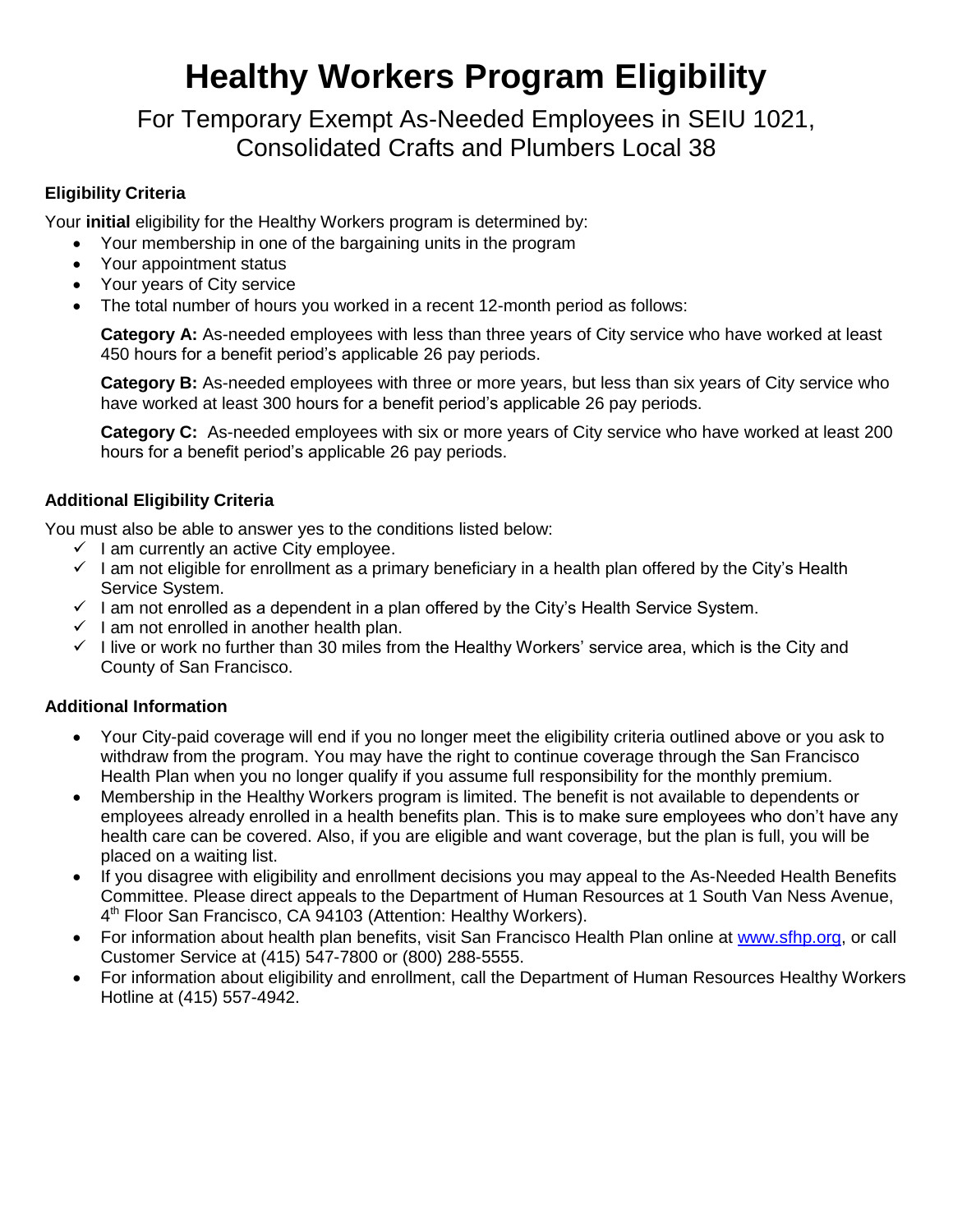# **Healthy Workers Program Eligibility**

For Temporary Exempt As-Needed Employees in SEIU 1021, Consolidated Crafts and Plumbers Local 38

## **Eligibility Criteria**

Your **initial** eligibility for the Healthy Workers program is determined by:

- Your membership in one of the bargaining units in the program
- Your appointment status
- Your years of City service
- The total number of hours you worked in a recent 12-month period as follows:

**Category A:** As-needed employees with less than three years of City service who have worked at least 450 hours for a benefit period's applicable 26 pay periods.

**Category B:** As-needed employees with three or more years, but less than six years of City service who have worked at least 300 hours for a benefit period's applicable 26 pay periods.

**Category C:** As-needed employees with six or more years of City service who have worked at least 200 hours for a benefit period's applicable 26 pay periods.

## **Additional Eligibility Criteria**

You must also be able to answer yes to the conditions listed below:

- $\checkmark$  I am currently an active City employee.
- $\checkmark$  I am not eligible for enrollment as a primary beneficiary in a health plan offered by the City's Health Service System.
- $\checkmark$  I am not enrolled as a dependent in a plan offered by the City's Health Service System.
- $\checkmark$  I am not enrolled in another health plan.
- $\checkmark$  I live or work no further than 30 miles from the Healthy Workers' service area, which is the City and County of San Francisco.

## **Additional Information**

- Your City-paid coverage will end if you no longer meet the eligibility criteria outlined above or you ask to withdraw from the program. You may have the right to continue coverage through the San Francisco Health Plan when you no longer qualify if you assume full responsibility for the monthly premium.
- Membership in the Healthy Workers program is limited. The benefit is not available to dependents or employees already enrolled in a health benefits plan. This is to make sure employees who don't have any health care can be covered. Also, if you are eligible and want coverage, but the plan is full, you will be placed on a waiting list.
- If you disagree with eligibility and enrollment decisions you may appeal to the As-Needed Health Benefits Committee. Please direct appeals to the Department of Human Resources at 1 South Van Ness Avenue, 4<sup>th</sup> Floor San Francisco, CA 94103 (Attention: Healthy Workers).
- For information about health plan benefits, visit San Francisco Health Plan online at [www.sfhp.org,](http://www.sfhp.org/) or call Customer Service at (415) 547-7800 or (800) 288-5555.
- For information about eligibility and enrollment, call the Department of Human Resources Healthy Workers Hotline at (415) 557-4942.